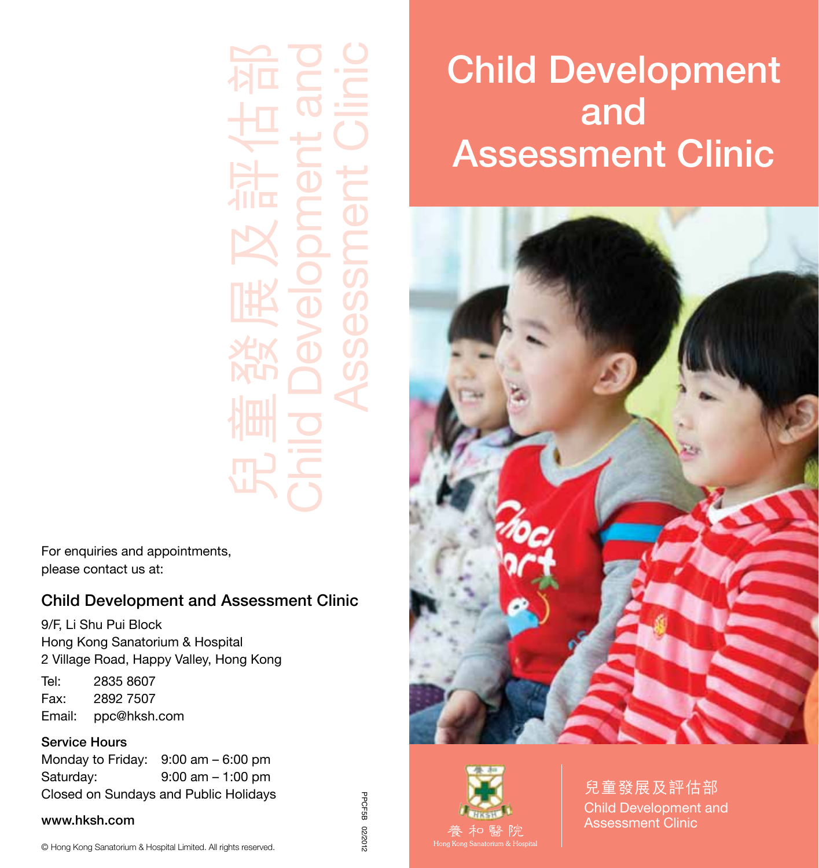兒童發展及評估部 Child Development and Assessment Clinic

For enquiries and appointments, please contact us at:

## Child Development and Assessment Clinic

9/F, Li Shu Pui Block Hong Kong Sanatorium & Hospital 2 Village Road, Happy Valley, Hong Kong

Tel: 2835 8607 Fax: 2892 7507 Email: ppc@hksh.com

## Service Hours

Monday to Friday: 9:00 am – 6:00 pm Saturday: 9:00 am – 1:00 pm Closed on Sundays and Public Holidays

#### www.hksh.com

© Hong Kong Sanatorium & Hospital Limited. All rights reserved.

PPCF5B 02/2012 PPCF5B 02/2012

# Child Development and Assessment Clinic





兒童發展及評估部 Child Development and Assessment Clinic